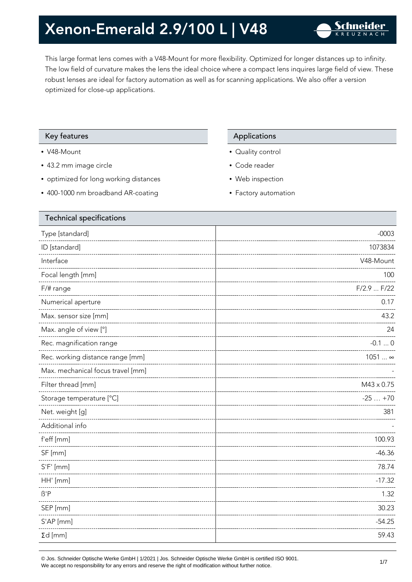This large format lens comes with a V48-Mount for more flexibility. Optimized for longer distances up to infinity. The low field of curvature makes the lens the ideal choice where a compact lens inquires large field of view. These robust lenses are ideal for factory automation as well as for scanning applications. We also offer a version optimized for close-up applications.

### Key features **Applications** Applications

- V48-Mount
- 43.2 mm image circle
- optimized for long working distances
- 400-1000 nm broadband AR-coating

- Quality control
- Code reader
- Web inspection
- Factory automation

| Type [standard]<br>ID [standard]<br>Interface<br>Focal length [mm]<br>F/# range<br>Numerical aperture<br>Max. sensor size [mm]<br>Max. angle of view [°]<br>Rec. magnification range<br>Rec. working distance range [mm]<br>Max. mechanical focus travel [mm]<br>Filter thread [mm]<br>Storage temperature [°C]<br>Net. weight [g]<br>Additional info<br>f'eff [mm]<br>SF [mm]<br>$S'F'$ [mm]<br>HH' [mm]<br>$\beta'$ P<br>SEP [mm]<br>S'AP [mm]<br>$\Sigma d$ [mm] | <b>Technical specifications</b> |                |
|---------------------------------------------------------------------------------------------------------------------------------------------------------------------------------------------------------------------------------------------------------------------------------------------------------------------------------------------------------------------------------------------------------------------------------------------------------------------|---------------------------------|----------------|
|                                                                                                                                                                                                                                                                                                                                                                                                                                                                     |                                 | $-0003$        |
|                                                                                                                                                                                                                                                                                                                                                                                                                                                                     |                                 | 1073834        |
|                                                                                                                                                                                                                                                                                                                                                                                                                                                                     |                                 | V48-Mount      |
|                                                                                                                                                                                                                                                                                                                                                                                                                                                                     |                                 | 100            |
|                                                                                                                                                                                                                                                                                                                                                                                                                                                                     |                                 | $F/2.9$ $F/22$ |
|                                                                                                                                                                                                                                                                                                                                                                                                                                                                     |                                 | 0.17           |
|                                                                                                                                                                                                                                                                                                                                                                                                                                                                     |                                 | 43.2           |
|                                                                                                                                                                                                                                                                                                                                                                                                                                                                     |                                 | 24             |
|                                                                                                                                                                                                                                                                                                                                                                                                                                                                     |                                 | $-0.10$        |
|                                                                                                                                                                                                                                                                                                                                                                                                                                                                     |                                 | 1051  ∞        |
|                                                                                                                                                                                                                                                                                                                                                                                                                                                                     |                                 |                |
|                                                                                                                                                                                                                                                                                                                                                                                                                                                                     |                                 | M43 x 0.75     |
|                                                                                                                                                                                                                                                                                                                                                                                                                                                                     |                                 | $-25+70$       |
|                                                                                                                                                                                                                                                                                                                                                                                                                                                                     |                                 | 381            |
|                                                                                                                                                                                                                                                                                                                                                                                                                                                                     |                                 |                |
|                                                                                                                                                                                                                                                                                                                                                                                                                                                                     |                                 | 100.93         |
|                                                                                                                                                                                                                                                                                                                                                                                                                                                                     |                                 | $-46.36$       |
|                                                                                                                                                                                                                                                                                                                                                                                                                                                                     |                                 | 78.74          |
|                                                                                                                                                                                                                                                                                                                                                                                                                                                                     |                                 | $-17.32$       |
|                                                                                                                                                                                                                                                                                                                                                                                                                                                                     |                                 | 1.32           |
|                                                                                                                                                                                                                                                                                                                                                                                                                                                                     |                                 | 30.23          |
|                                                                                                                                                                                                                                                                                                                                                                                                                                                                     |                                 | $-54.25$       |
|                                                                                                                                                                                                                                                                                                                                                                                                                                                                     |                                 | 59.43          |

© Jos. Schneider Optische Werke GmbH | 1/2021 | Jos. Schneider Optische Werke GmbH is certified ISO 9001.  $\bullet$  Jos. Schneider Opuscrie werke Grillon | 1/2021 | Jos. Schneider Opuscrie werke Grillon is certified iSO 9001.<br>We accept no responsibility for any errors and reserve the right of modification without further notice.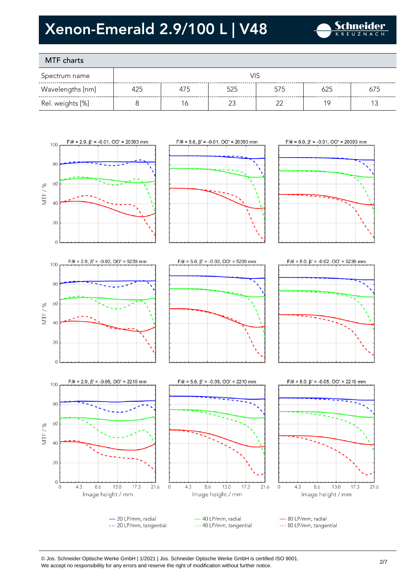

### MTF charts

| Spectrum name    |     |     |     |     |     |     |
|------------------|-----|-----|-----|-----|-----|-----|
| Wavelengths [nm] | 425 | 475 | 525 | 575 | 625 | 675 |
| Rel. weights [%] |     | ١Ć  |     | ≘∼  |     |     |









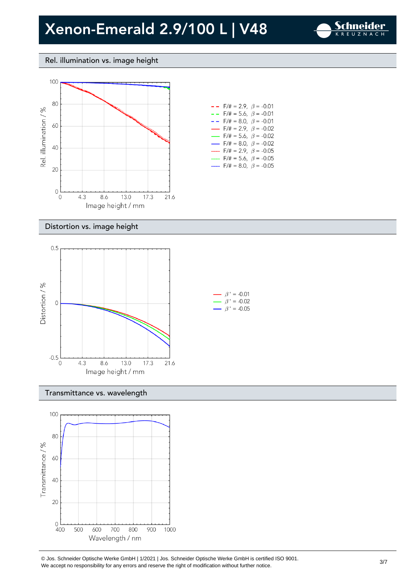

### Rel. illumination vs. image height



| $- -$ F/# = 2.9, $\beta$ = -0.01         |  |
|------------------------------------------|--|
| $- -$ F/# = 5.6, $\beta$ = -0.01         |  |
| $- -$ F/# = 8.0, $\beta$ = -0.01         |  |
| $-$ F/# = 2.9, $\beta$ = -0.02           |  |
| $\rightarrow$ F/# = 5.6, $\beta$ = -0.02 |  |
| $\rightarrow$ F/# = 8.0, $\beta$ = -0.02 |  |
| F/# = 2.9, $\beta$ = -0.05               |  |
| $F/\ddot{=} = 5.6$ , $\beta = -0.05$     |  |
| $F/\ddot{x} = 8.0$ , $\beta = -0.05$     |  |

#### Distortion vs. image height



#### Transmittance vs. wavelength



© Jos. Schneider Optische Werke GmbH | 1/2021 | Jos. Schneider Optische Werke GmbH is certified ISO 9001.  $\degree$  Jos. Scrifielder Optiscrie werke Grillom | 1/2021 | Jos. Scrifielder Optiscrie werke Grillom is certified iSO 9001.<br>We accept no responsibility for any errors and reserve the right of modification without further noti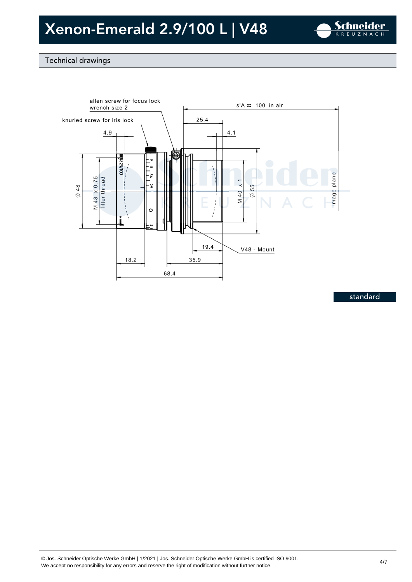

### Technical drawings



standard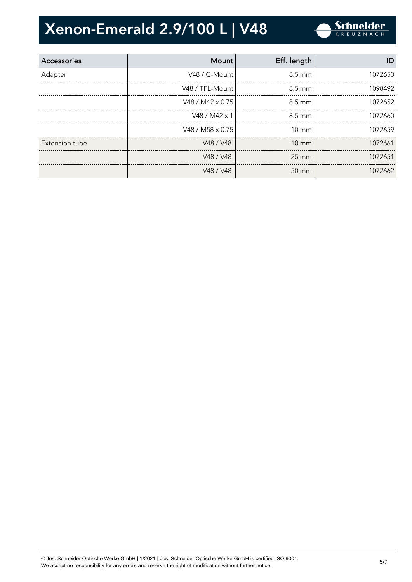

| Accessories    | Mount                   | Eff. length       | ID      |
|----------------|-------------------------|-------------------|---------|
| Adapter        | V48 / C-Mount           | $8.5 \text{ mm}$  | 1072650 |
|                | V48 / TFL-Mount         | 8.5 mm            | 1098492 |
|                | V48 / M42 $\times$ 0.75 | $8.5 \text{ mm}$  | 1072652 |
|                | V48 / M42 x 1           | $8.5 \text{ mm}$  | 1072660 |
|                | V48 / M58 x 0.75        | $10 \text{ mm}$   | 1072659 |
| Extension tube | V48 / V48               | $10 \, \text{mm}$ | 1072661 |
|                | V48 / V48               | $25 \text{ mm}$   | 1072651 |
|                | V48 / V48               | $50 \text{ mm}$   | 1072662 |